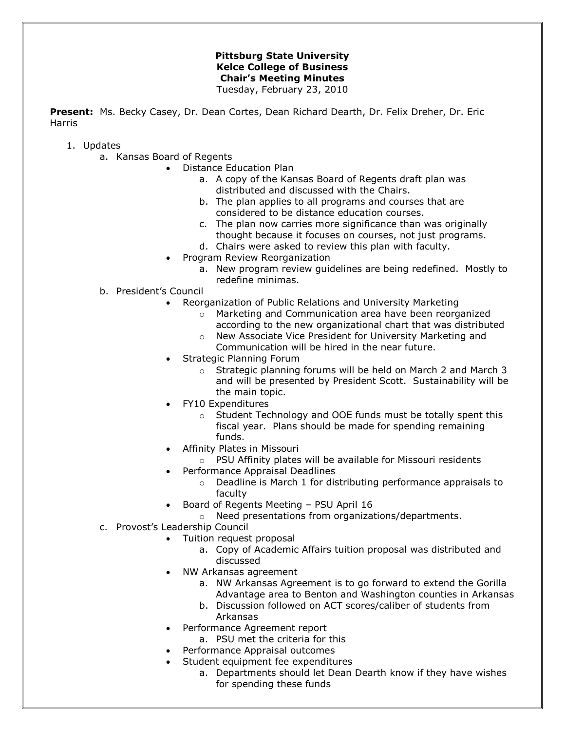## **Pittsburg State University Kelce College of Business Chair's Meeting Minutes**

Tuesday, February 23, 2010

**Present:** Ms. Becky Casey, Dr. Dean Cortes, Dean Richard Dearth, Dr. Felix Dreher, Dr. Eric Harris

- 1. Updates
	- a. Kansas Board of Regents
		- Distance Education Plan
			- a. A copy of the Kansas Board of Regents draft plan was distributed and discussed with the Chairs.
			- b. The plan applies to all programs and courses that are considered to be distance education courses.
			- c. The plan now carries more significance than was originally thought because it focuses on courses, not just programs.
			- d. Chairs were asked to review this plan with faculty.
			- Program Review Reorganization
				- a. New program review guidelines are being redefined. Mostly to redefine minimas.
	- b. President's Council
		- Reorganization of Public Relations and University Marketing
			- o Marketing and Communication area have been reorganized according to the new organizational chart that was distributed
			- o New Associate Vice President for University Marketing and Communication will be hired in the near future.
		- Strategic Planning Forum
			- o Strategic planning forums will be held on March 2 and March 3 and will be presented by President Scott. Sustainability will be the main topic.
		- FY10 Expenditures
			- o Student Technology and OOE funds must be totally spent this fiscal year. Plans should be made for spending remaining funds.
		- Affinity Plates in Missouri
			- o PSU Affinity plates will be available for Missouri residents
			- Performance Appraisal Deadlines
				- o Deadline is March 1 for distributing performance appraisals to faculty
		- Board of Regents Meeting PSU April 16
			- o Need presentations from organizations/departments.
	- c. Provost's Leadership Council
		- Tuition request proposal
			- a. Copy of Academic Affairs tuition proposal was distributed and discussed
		- NW Arkansas agreement
			- a. NW Arkansas Agreement is to go forward to extend the Gorilla Advantage area to Benton and Washington counties in Arkansas
			- b. Discussion followed on ACT scores/caliber of students from Arkansas
		- Performance Agreement report
			- a. PSU met the criteria for this
			- Performance Appraisal outcomes
		- Student equipment fee expenditures
			- a. Departments should let Dean Dearth know if they have wishes for spending these funds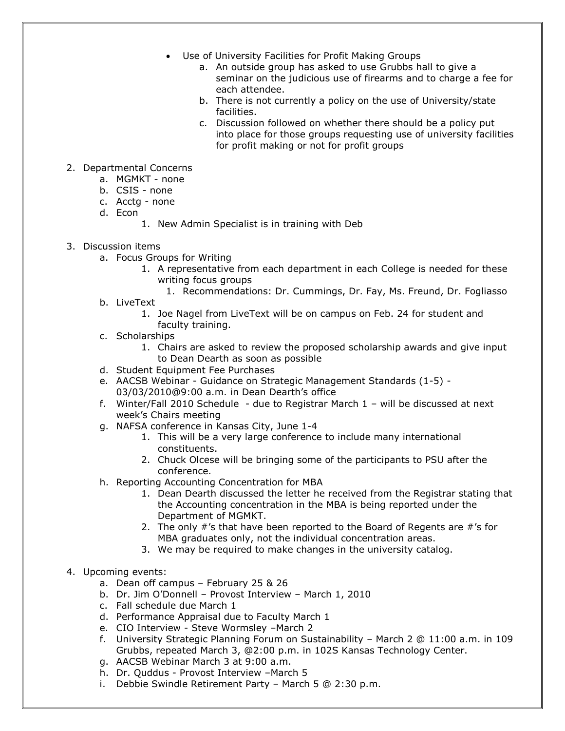- Use of University Facilities for Profit Making Groups
	- a. An outside group has asked to use Grubbs hall to give a seminar on the judicious use of firearms and to charge a fee for each attendee.
	- b. There is not currently a policy on the use of University/state facilities.
	- c. Discussion followed on whether there should be a policy put into place for those groups requesting use of university facilities for profit making or not for profit groups
- 2. Departmental Concerns
	- a. MGMKT none
	- b. CSIS none
	- c. Acctg none
	- d. Econ
		- 1. New Admin Specialist is in training with Deb
- 3. Discussion items
	- a. Focus Groups for Writing
		- 1. A representative from each department in each College is needed for these writing focus groups
			- 1. Recommendations: Dr. Cummings, Dr. Fay, Ms. Freund, Dr. Fogliasso
	- b. LiveText
		- 1. Joe Nagel from LiveText will be on campus on Feb. 24 for student and faculty training.
	- c. Scholarships
		- 1. Chairs are asked to review the proposed scholarship awards and give input to Dean Dearth as soon as possible
	- d. Student Equipment Fee Purchases
	- e. AACSB Webinar Guidance on Strategic Management Standards (1-5) 03/03/2010@9:00 a.m. in Dean Dearth's office
	- f. Winter/Fall 2010 Schedule due to Registrar March 1 will be discussed at next week's Chairs meeting
	- g. NAFSA conference in Kansas City, June 1-4
		- 1. This will be a very large conference to include many international constituents.
		- 2. Chuck Olcese will be bringing some of the participants to PSU after the conference.
	- h. Reporting Accounting Concentration for MBA
		- 1. Dean Dearth discussed the letter he received from the Registrar stating that the Accounting concentration in the MBA is being reported under the Department of MGMKT.
		- 2. The only #'s that have been reported to the Board of Regents are #'s for MBA graduates only, not the individual concentration areas.
		- 3. We may be required to make changes in the university catalog.

## 4. Upcoming events:

- a. Dean off campus February 25 & 26
- b. Dr. Jim O'Donnell Provost Interview March 1, 2010
- c. Fall schedule due March 1
- d. Performance Appraisal due to Faculty March 1
- e. CIO Interview Steve Wormsley –March 2
- f. University Strategic Planning Forum on Sustainability March 2 @ 11:00 a.m. in 109 Grubbs, repeated March 3, @2:00 p.m. in 102S Kansas Technology Center.
- g. AACSB Webinar March 3 at 9:00 a.m.
- h. Dr. Quddus Provost Interview –March 5
- i. Debbie Swindle Retirement Party March 5 @ 2:30 p.m.